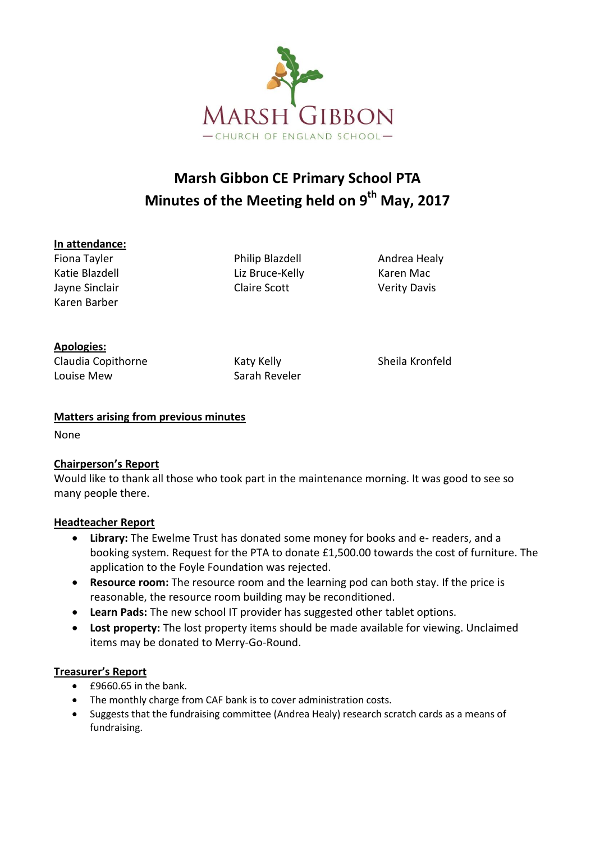

# **Marsh Gibbon CE Primary School PTA Minutes of the Meeting held on 9 th May, 2017**

#### **In attendance:**

Karen Barber

Fiona Tayler Philip Blazdell Andrea Healy Katie Blazdell **Example 20 Example 20 Example 20 Example 20 Example 20 Example 20 Example 20 Example 20 Example 20 Example 20 Example 20 Example 20 Example 20 Example 20 Example 20 Example 20 Example 20 Example 20 Example** Jayne Sinclair Claire Scott Verity Davis

## **Apologies:**

Claudia Copithorne Katy Kelly Kelly Sheila Kronfeld Louise Mew Sarah Reveler

## **Matters arising from previous minutes**

None

# **Chairperson's Report**

Would like to thank all those who took part in the maintenance morning. It was good to see so many people there.

#### **Headteacher Report**

- **Library:** The Ewelme Trust has donated some money for books and e- readers, and a booking system. Request for the PTA to donate £1,500.00 towards the cost of furniture. The application to the Foyle Foundation was rejected.
- **Resource room:** The resource room and the learning pod can both stay. If the price is reasonable, the resource room building may be reconditioned.
- **Learn Pads:** The new school IT provider has suggested other tablet options.
- **Lost property:** The lost property items should be made available for viewing. Unclaimed items may be donated to Merry-Go-Round.

#### **Treasurer's Report**

- £9660.65 in the bank.
- The monthly charge from CAF bank is to cover administration costs.
- Suggests that the fundraising committee (Andrea Healy) research scratch cards as a means of fundraising.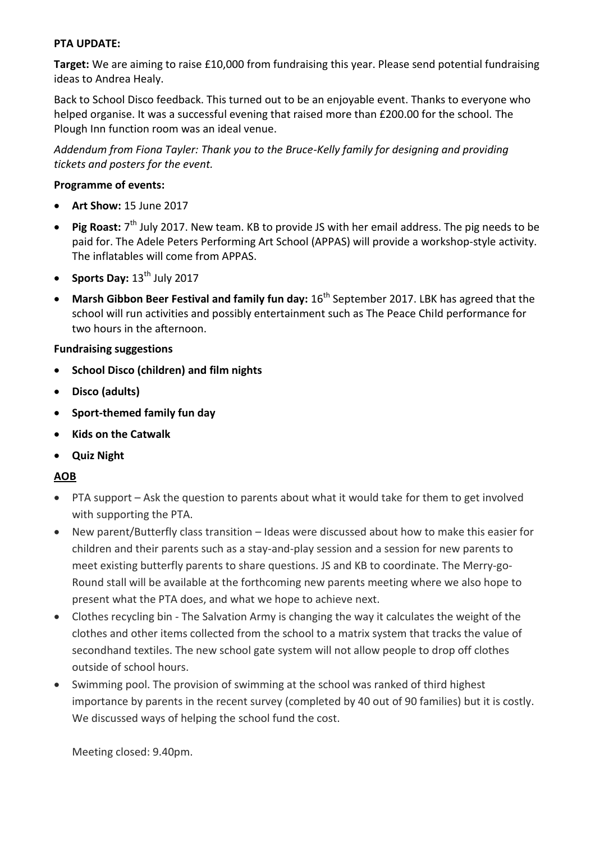#### **PTA UPDATE:**

**Target:** We are aiming to raise £10,000 from fundraising this year. Please send potential fundraising ideas to Andrea Healy.

Back to School Disco feedback. This turned out to be an enjoyable event. Thanks to everyone who helped organise. It was a successful evening that raised more than £200.00 for the school. The Plough Inn function room was an ideal venue.

*Addendum from Fiona Tayler: Thank you to the Bruce-Kelly family for designing and providing tickets and posters for the event.*

#### **Programme of events:**

- **Art Show:** 15 June 2017
- Pig Roast: 7<sup>th</sup> July 2017. New team. KB to provide JS with her email address. The pig needs to be paid for. The Adele Peters Performing Art School (APPAS) will provide a workshop-style activity. The inflatables will come from APPAS.
- Sports Day:  $13^{th}$  July 2017
- Marsh Gibbon Beer Festival and family fun day:  $16<sup>th</sup>$  September 2017. LBK has agreed that the school will run activities and possibly entertainment such as The Peace Child performance for two hours in the afternoon.

#### **Fundraising suggestions**

- **School Disco (children) and film nights**
- **Disco (adults)**
- **Sport-themed family fun day**
- **Kids on the Catwalk**
- **Quiz Night**

#### **AOB**

- PTA support Ask the question to parents about what it would take for them to get involved with supporting the PTA.
- New parent/Butterfly class transition Ideas were discussed about how to make this easier for children and their parents such as a stay-and-play session and a session for new parents to meet existing butterfly parents to share questions. JS and KB to coordinate. The Merry-go-Round stall will be available at the forthcoming new parents meeting where we also hope to present what the PTA does, and what we hope to achieve next.
- Clothes recycling bin The Salvation Army is changing the way it calculates the weight of the clothes and other items collected from the school to a matrix system that tracks the value of secondhand textiles. The new school gate system will not allow people to drop off clothes outside of school hours.
- Swimming pool. The provision of swimming at the school was ranked of third highest importance by parents in the recent survey (completed by 40 out of 90 families) but it is costly. We discussed ways of helping the school fund the cost.

Meeting closed: 9.40pm.